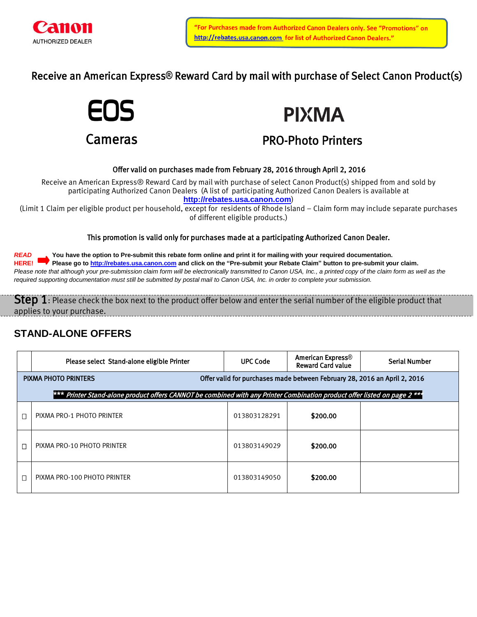

Receive an American Express**®** Reward Card by mail with purchase of Select Canon Product(s)





# PRO-Photo Printers

### Offer valid on purchases made from February 28, 2016 through April 2, 2016

Receive an American Express® Reward Card by mail with purchase of select Canon Product(s) shipped from and sold by participating Authorized Canon Dealers (A list of participating Authorized Canon Dealers is available at **[http://rebates.usa.canon.com](http://rebates.usa.canon.com/)**)

(Limit 1 Claim per eligible product per household, except for residents of Rhode Island – Claim form may include separate purchases of different eligible products.)

This promotion is valid only for purchases made at a participating Authorized Canon Dealer.

*READ* **You have the option to Pre-submit this rebate form online and print it for mailing with your required documentation. HERE! Please go to [http://rebates.usa.canon.com](http://rebates.usa.canon.com/) and click on the "Pre-submit your Rebate Claim" button to pre-submit your claim.** Please note that although your pre-submission claim form will be electronically transmitted to Canon USA, Inc., a printed copy of the claim form as well as the *required supporting documentation must still be submitted by postal mail to Canon USA, Inc. in order to complete your submission.*

Step 1: Please check the box next to the product offer below and enter the serial number of the eligible product that applies to your purchase.

### **STAND-ALONE OFFERS**

|                                                                                                                           | Please select Stand-alone eligible Printer | <b>UPC Code</b> | American Express®<br><b>Reward Card value</b> | <b>Serial Number</b> |  |  |  |
|---------------------------------------------------------------------------------------------------------------------------|--------------------------------------------|-----------------|-----------------------------------------------|----------------------|--|--|--|
| Offer valid for purchases made between February 28, 2016 an April 2, 2016<br><b>PIXMA PHOTO PRINTERS</b>                  |                                            |                 |                                               |                      |  |  |  |
| *** Printer Stand-alone product offers CANNOT be combined with any Printer Combination product offer listed on page 2 *** |                                            |                 |                                               |                      |  |  |  |
|                                                                                                                           | PIXMA PRO-1 PHOTO PRINTER                  | 013803128291    | \$200.00                                      |                      |  |  |  |
|                                                                                                                           | PIXMA PRO-10 PHOTO PRINTER                 | 013803149029    | \$200.00                                      |                      |  |  |  |
|                                                                                                                           | PIXMA PRO-100 PHOTO PRINTER                | 013803149050    | \$200.00                                      |                      |  |  |  |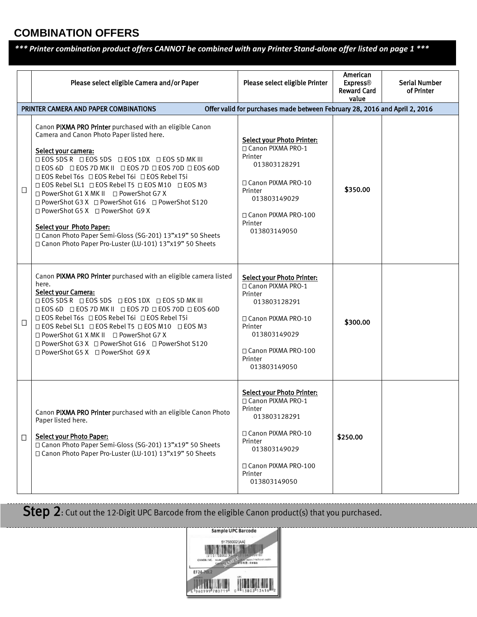## **COMBINATION OFFERS**

*\*\*\* Printer combination product offers CANNOT be combined with any Printer Stand-alone offer listed on page 1 \*\*\**

|        | Please select eligible Camera and/or Paper<br>PRINTER CAMERA AND PAPER COMBINATIONS                                                                                                                                                                                                                                                                                                                                                                              | Please select eligible Printer<br>Offer valid for purchases made between February 28, 2016 and April 2, 2016                                                                               | American<br><b>Express®</b><br><b>Reward Card</b><br>value | <b>Serial Number</b><br>of Printer |
|--------|------------------------------------------------------------------------------------------------------------------------------------------------------------------------------------------------------------------------------------------------------------------------------------------------------------------------------------------------------------------------------------------------------------------------------------------------------------------|--------------------------------------------------------------------------------------------------------------------------------------------------------------------------------------------|------------------------------------------------------------|------------------------------------|
| $\Box$ | Canon PIXMA PRO Printer purchased with an eligible Canon<br>Camera and Canon Photo Paper listed here.<br>Select your camera:<br>□ EOS 5DS R □ EOS 5DS □ EOS 1DX □ EOS 5D MK III                                                                                                                                                                                                                                                                                  | <b>Select your Photo Printer:</b><br>□ Canon PIXMA PRO-1<br>Printer                                                                                                                        |                                                            |                                    |
|        | <b>□EOS 6D □EOS 7D MK II □EOS 7D □EOS 70D □EOS 60D</b><br>□ EOS Rebel T6s □ EOS Rebel T6i □ EOS Rebel T5i<br>□ EOS Rebel SL1 □ EOS Rebel T5 □ EOS M10 □ EOS M3<br>□ PowerShot G1 X MK II □ PowerShot G7 X<br>□ PowerShot G3 X □ PowerShot G16 □ PowerShot S120<br>□ PowerShot G5 X □ PowerShot G9 X<br><b>Select your Photo Paper:</b><br>□ Canon Photo Paper Semi-Gloss (SG-201) 13"x19" 50 Sheets<br>□ Canon Photo Paper Pro-Luster (LU-101) 13"x19" 50 Sheets | 013803128291<br>□ Canon PIXMA PRO-10<br>Printer<br>013803149029<br>□ Canon PIXMA PRO-100<br>Printer<br>013803149050                                                                        | \$350.00                                                   |                                    |
| $\Box$ | Canon PIXMA PRO Printer purchased with an eligible camera listed<br>here.<br>Select your Camera:<br><b>□EOS 5DS R □EOS 5DS □EOS 1DX □EOS 5D MK III</b><br><b>DEOS 6D DEOS 7D MK II DEOS 7D DEOS 70D DEOS 60D</b><br>□ EOS Rebel T6s □ EOS Rebel T6i □ EOS Rebel T5i<br>□ EOS Rebel SL1 □ EOS Rebel T5 □ EOS M10 □ EOS M3<br>□ PowerShot G1 X MK II □ PowerShot G7 X<br>□ PowerShot G3 X □ PowerShot G16 □ PowerShot S120<br>□ PowerShot G5 X □ PowerShot G9 X    | <b>Select your Photo Printer:</b><br>□ Canon PIXMA PRO-1<br>Printer<br>013803128291<br>□ Canon PIXMA PRO-10<br>Printer<br>013803149029<br>□ Canon PIXMA PRO-100<br>Printer<br>013803149050 | \$300.00                                                   |                                    |
| □      | Canon PIXMA PRO Printer purchased with an eligible Canon Photo<br>Paper listed here.<br>Select your Photo Paper:<br>□ Canon Photo Paper Semi-Gloss (SG-201) 13"x19" 50 Sheets<br>□ Canon Photo Paper Pro-Luster (LU-101) 13"x19" 50 Sheets                                                                                                                                                                                                                       | <b>Select your Photo Printer:</b><br>□ Canon PIXMA PRO-1<br>Printer<br>013803128291<br>□ Canon PIXMA PRO-10<br>Printer<br>013803149029<br>□ Canon PIXMA PRO-100<br>Printer<br>013803149050 | \$250.00                                                   |                                    |

Step 2: Cut out the 12-Digit UPC Barcode from the eligible Canon product(s) that you purchased.